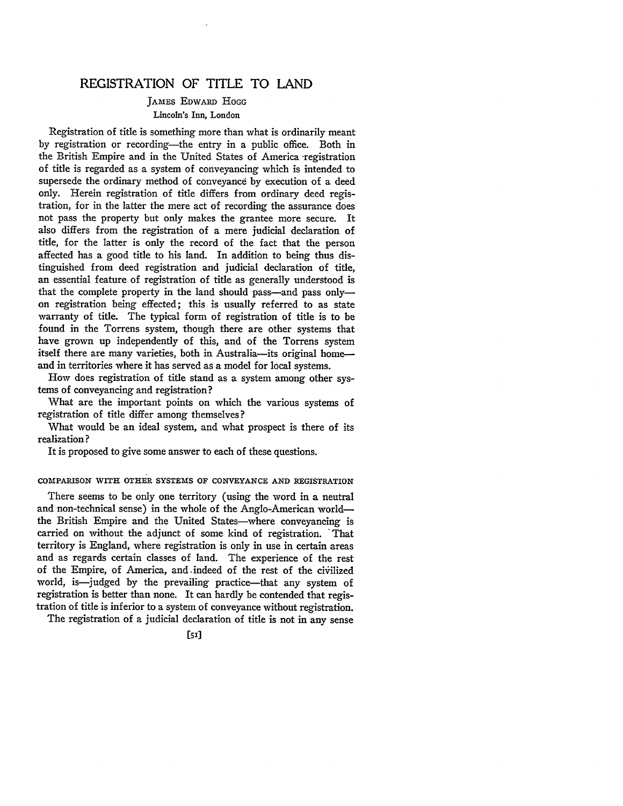## REGISTRATION OF TITLE TO LAND

JAMES EDWARD HOGG

Lincoln's Inn, London

Registration of title is something more than what is ordinarily meant **by** registration or recording-the entry in a public office. Both in the British Empire and in the United States of America -registration of title is regarded as a system of conveyancing which is intended to supersede the ordinary method of conveyance **by** execution of a deed only. Herein registration of title differs from ordinary deed registration, for in the latter the mere act of recording the assurance does not pass the property but only makes the grantee more secure. It also differs from the registration of a mere judicial declaration of title, for the latter is only the record of the fact that the person affected has a good title to his land. In addition to being thus distinguished from deed registration and judicial declaration of title, an essential feature of registration of title as generally understood is that the complete property in the land should pass-and pass onlyon registration being effected; this is usually referred to as state warranty of title. The typical form of registration of title is to be found in the Torrens system, though there are other systems that have grown up independently of this, and of the Torrens system itself there are many varieties, both in Australia-its original homeand in territories where it has served as a model for local systems.

How does registration of title stand as a system among other systems of conveyancing and registration?

What are the important points on which the various systems of registration of title differ among themselves?

What would be an ideal system, and what prospect is there of its realization?

It is proposed to give some answer to each of these questions.

## COMPARISON WITH OTHER **SYSTEMS** OF **CONVEYANCE AND** REGISTRATION

There seems to be only one territory (using the word in a neutral and non-technical sense) in the whole of the Anglo-American worldthe British Empire and the United States-where conveyancing is carried on without the adjunct of some kind of registration. 'That territory is England, where registration is only in use in certain areas and as regards certain classes of land. The experience of the rest of the Empire, of America, and indeed of the rest of the civilized world, is—judged by the prevailing practice—that any system of registration is better than none. It can hardly be contended that registration of title is inferior to a system of conveyance without registration.

The registration of a judicial declaration of title is not in any sense

**[51]**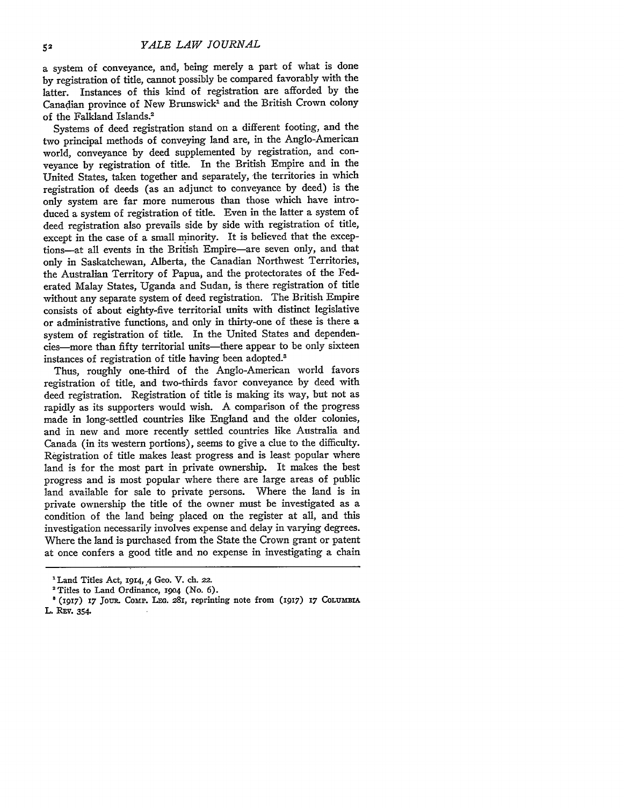a system of conveyance, and, being merely a part of what is done by registration of title, cannot possibly be compared favorably with the latter. Instances of this kind of registration are afforded by the Canadian province of New Brunswick" and the British Crown colony of the Falkland Islands.<sup>2</sup>

Systems of deed registration stand on a different footing, and the two principal methods of conveying land are, in the Anglo-American world, conveyance by deed supplemented by registration, and conveyance by registration of title. In the British Empire and in the United States, taken together and separately, the territories in which registration of deeds (as an adjunct to conveyance by deed) is the only system are far more numerous than those which have introduced a system of registration of title. Even in the latter a system of deed registration also prevails side by side with registration of title, except in the case of a small minority. It is believed that the exceptions-at all events in the British Empire-are seven only, and that only in Saskatchewan, Alberta, the Canadian Northwest Territories, the Australian Territory of Papua, and the protectorates of the Federated Malay States, Uganda and Sudan, is there registration of title without any separate system of deed registration. The British Empire consists of about eighty-five territorial units with distinct legislative or administrative functions, and only in thirty-one of these is there a system of registration of title. In the United States and dependencies-more than fifty territorial units-there appear to be only sixteen instances of registration of title having been adopted.8

Thus, roughly one-third of the Anglo-American world favors registration of title, and two-thirds favor conveyance by deed with deed registration. Registration of title is making its way, but not as rapidly as its supporters would wish. A comparison of the progress made in long-settled countries like England and the older colonies, and in new and more recently settled countries like Australia and Canada (in its western portions), seems to give a clue to the difficulty. Registration of title makes least progress and is least popular where land is for the most part in private ownership. It makes the best progress and is most popular where there are large areas of public land available for sale to private persons. Where the land is in private ownership the title of the owner must be investigated as a condition of the land being placed on the register at all, and this investigation necessarily involves expense and delay in varying degrees. Where the land is purchased from the State the Crown grant or patent at once confers a good title and no expense in investigating a chain

<sup>&#</sup>x27;Land Titles Act, **1914,** *,4* Geo. V. ch. **22.**

<sup>&</sup>lt;sup>2</sup> Titles to Land Ordinance, 1904 (No. 6).

**<sup>&</sup>quot;** (1917) *17* Jotm. CoMP. **LEG.** 281, reprinting note from **(917) 7 COLUMBIA** L. REV. 354.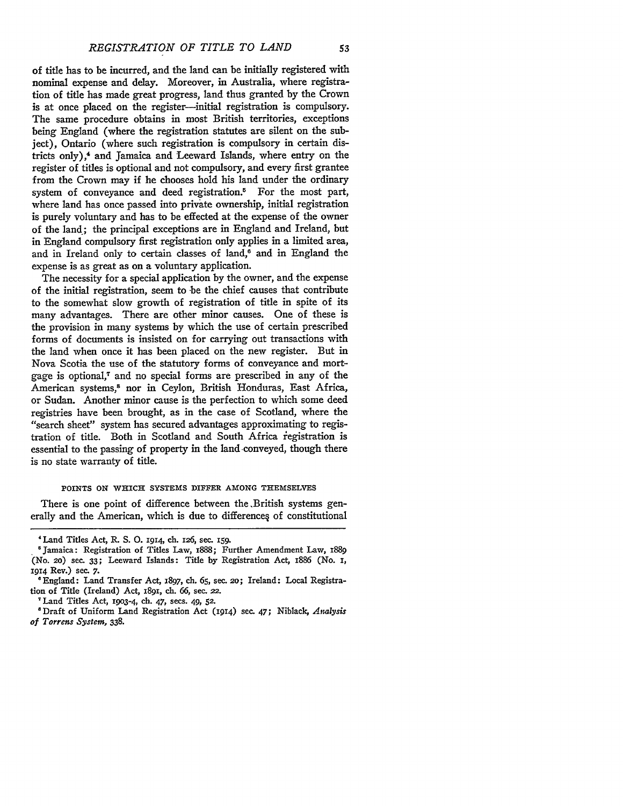53

of title has to be incurred, and the land can be initially registered with nominal expense and delay. Moreover, in Australia, where registration of title has made great progress, land thus granted by the Crown is at once placed on the register-initial registration is compulsory. The same procedure obtains in most British territories, exceptions being England (where the registration statutes are silent on the subject). Ontario (where such registration is compulsory in certain districts only),<sup>4</sup> and Jamaica and Leeward Islands, where entry on the register of titles is optional and not compulsory, and every first grantee from the Crown may if he chooses hold his land under the ordinary system of conveyance and deed registration.<sup>5</sup> For the most part, where land has once passed into private ownership, initial registration is purely voluntary and has to be effected at the expense of the owner of the land; the principal exceptions are in England and Ireland, but in England compulsory first registration only applies in a limited area, and in Ireland only to certain classes of land,<sup>6</sup> and in England the expense is as great as on a voluntary application.

The necessity for a special application by the owner, and the expense of the initial registration, seem to be the chief causes that contribute to the somewhat slow growth of registration of title in spite of its many advantages. There are other minor causes. One of these is the provision in many systems by which the use of certain prescribed forms of documents is insisted on for carrying out transactions with the land when once it has been placed on the new register. But in Nova Scotia the use of the statutory forms of conveyance and mortgage is optional, $<sup>7</sup>$  and no special forms are prescribed in any of the</sup> American systems,<sup>8</sup> nor in Ceylon, British Honduras, East Africa, or Sudan. Another minor cause is the perfection to which some deed registries have been brought, as in the case of Scotland, where the "search sheet" system has secured advantages approximating to registration of title. Both in Scotland and South Africa registration is essential to the passing of property in the land .conveyed, though there is no state warranty of title.

## POINTS **ON WHICH SYSTEMS** DIFFER **AMONG THEMSELVES**

There is one point of difference between the British systems generally and the American, which is due to difference§ of constitutional

<sup>&#</sup>x27;Land Titles Act, **R.** S. **0.** 1914, ch. 126, sec. **I59.**

<sup>&#</sup>x27;Jamaica: Registration of Titles Law, 1888; Further Amendment Law, x889 (No. **20)** sec. 33; Leeward Islands: Title by Registration Act, i886 (No. **I, 1914** Rev.) see. 7.

<sup>&#</sup>x27;England: Land Transfer Act, 1897, ch. **65,** sec. **20;** Ireland: Local Registration of Title (Ireland) Act, **i89I,** ch. 66, see. 22.

<sup>&</sup>quot;Land Titles Act, i9o3-4, ch. 47, secs. 49, **52.**

<sup>&#</sup>x27;Draft of Uniform Land Registration Act (1914) sec. 47; Niblack, *Analysis of Torrens System,* 338.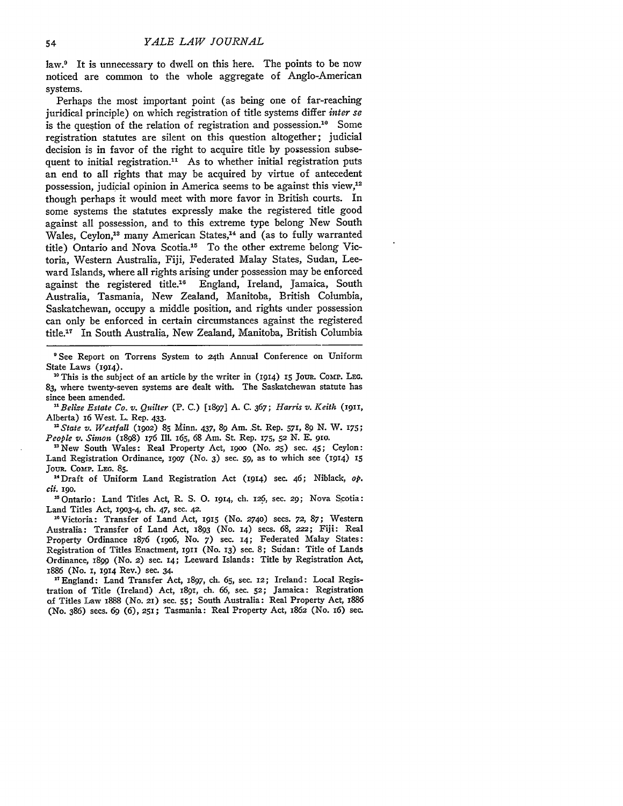law.<sup>9</sup> It is unnecessary to dwell on this here. The points to be now noticed are common to the whole aggregate of Anglo-American systems.

Perhaps the most important point (as being one of far-reaching juridical principle) on which registration of title systems differ *inter se* is the question of the relation of registration and possession.<sup>10</sup> Some registration statutes are silent on this question altogether; judicial decision is in favor of the right to acquire title **by** possession subsequent to initial registration.<sup>11</sup> As to whether initial registration puts an end to all rights that may be acquired **by** virtue of antecedent possession, judicial opinion in America seems to be against this view,<sup>12</sup> though perhaps it would meet with more favor in British courts. In some systems the statutes expressly make the registered title good against all possession, and to this extreme type belong New South Wales, Ceylon,<sup>13</sup> many American States,<sup>14</sup> and (as to fully warranted title) Ontario and Nova Scotia.<sup>15</sup> To the other extreme belong Victoria, Western Australia, **Fiji,** Federated Malay States, Sudan, Leeward Islands, where all rights arising under possession may be enforced against the registered title.<sup>16</sup> England, Ireland, Jamaica, South Australia, Tasmania, New Zealand, Manitoba, British Columbia, Saskatchewan, occupy a middle position, and rights under possession can only be enforced in certain circumstances against the registered title.<sup>17</sup> In South Australia, New Zealand, Manitoba, British Columbia

'See Report on Torrens System to **24th** Annual Conference on Uniform State Laws **(I914). "0** This is the subject of an article **by** the writer in **(I914) 15 JOUR.** ComP. **LEG.**

**83,** where twenty-seven systems are dealt with. The Saskatchewan statute has since been amended.

*'Belize Estate Co. v. Quilter* (P. **C.)** [1897] **A. C. 367;** *Harris v. Keith* **(IglI,** Alberta) **i6** West. L. Rep. 433.

*'State v. Westfall* **(19o2) 85** Minn. 437, **89** Am. **.St.** Rep. **57I,** *89* **N.** W. **175;** *People v. Simon* **(x898)** 176 **Ill.** 165, **68 Am.** St. Rep. **I75, 52 N. E. 91O.**

**'** New South Wales: Real Property Act, **19oo** (No. **25)** sec. **45;** Ceylon: Land Registration Ordinance, **19o7** (No. **3)** sec. **59,** as to which see **(1914) 15** Joua. **Comp. LEG. 85.**

**"** Draft of Uniform Land Registration Act **(1914)** sec. 46; Niblack, *op. Cit. 190.*

5Ontario: Land Titles Act, R. **S. 0. 1914, ch. 126,** sec. *29;* Nova Scotia: Land Titles Act, **1903-4, ch.** 47, sec. **42.**

**"Victoria:** Transfer of Land Act, **1915** (No. *274o)* **secs.** *72,* **87;** Western Australia: Transfer of Land Act, 1893 (No. **4)** secs. **68, 222; Fiji:** Real Property Ordinance 1876 (I9O6, **No. 7)** sec. **I4;** Federated Malay States: Registration of Titles Enactment, **1911** (No. **I3)** sec. **8;** Sudan: Title of Lands Ordinance, **1899 (No. 2)** sec. **I4;** Leeward Islands: Title **by** Registration Act, I886 (No. **I, 1914** Rev.) sec. 34.

**11** England: Land Transfer Act, 1897, ch. **65,** sec. **12;** Ireland: Local Registration of Title (Ireland) Act, i8gi, ch. **66,** sec. **52;** Jamaica: Registration **of** Titles Law 1888 **(No. 21)** sec. **55;** South Australia: Real Property Act, I886 (No. **386)** secs. **69 (6), 251;** Tasmania: Real Property Act, 1862 (No. **x6)** sec.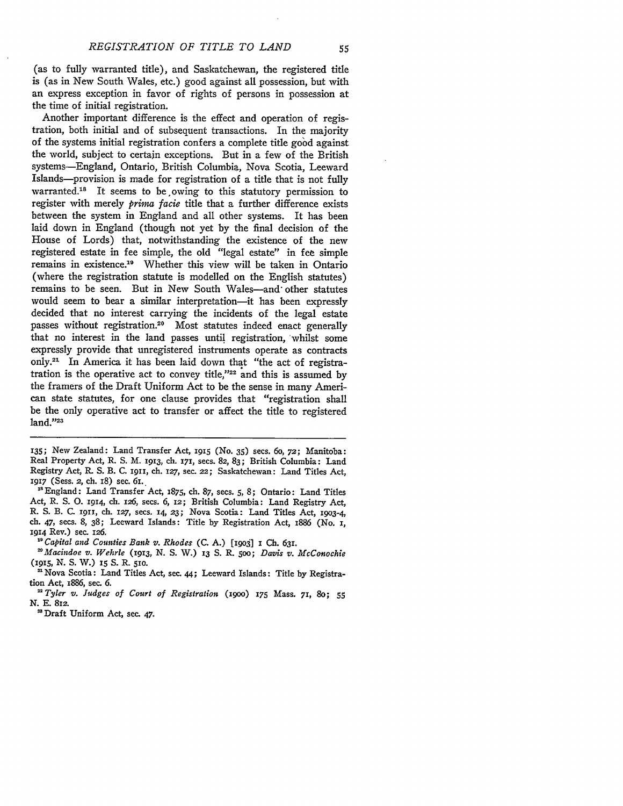(as to fully warranted title), and Saskatchewan, the registered title is (as in New South Wales, etc.) good against all possession, but with an express exception in favor of rights of persons in possession at the time of initial registration.

Another important difference is the effect and operation of registration, both initial and of subsequent transactions. In the majority of the systems initial registration confers a complete title good against the world, subject to certain exceptions. But in a few of the British systems-England, Ontario, British Columbia, Nova Scotia, Leeward Islands-provision is made for registration of a title that is not fully warranted.<sup>18</sup> It seems to be owing to this statutory permission to register with merely *prima facie* title that a further difference exists between the system in England and all other systems. It has been laid down in England (though not yet by the final decision of the House of Lords) that, notwithstanding the existence of the new registered estate in fee simple, the old "legal estate" in fee simple remains in existence.<sup>19</sup> Whether this view will be taken in Ontario (where the registration statute is modelled on the English statutes) remains to be seen. But in New South Wales-and other statutes would seem to bear a similar interpretation-it has been expressly decided that no interest carrying the incidents of the legal estate passes without registration.<sup>20</sup> Most statutes indeed enact generally that no interest in the land passes until registration, whilst some expressly provide that unregistered instruments operate as contracts only.21 In America it has been laid down that "the act of registratration is the operative act to convey title,"<sup>22</sup> and this is assumed by the framers of the Draft Uniform Act to be the sense in many American state statutes, for one clause provides that "registration shall be the only operative act to transfer or affect the title to registered  $land."^{23}$ 

*<sup>1</sup> Capital and Counties Bank v. Rhodes* **(C. A.)** [i9o3] i **Ch. 631.**

*"Macindoe v. Wehrle* **(1913,** N. S. W.) **13 S.** R. *500; Davis v. McConochie* **(915, N. S.** W.) **i5 S. R.** *510.*

<sup>21</sup> Nova Scotia: Land Titles Act, sec. 44; Leeward Islands: Title by Registration Act, i886, sec. 6.

*Tyler v. Judges of Court of Registration* (igoo) **175** Mass. **71, 80; 55** N. E. **812.**

<sup>23</sup> Draft Uniform Act, sec. 47.

**<sup>135;</sup>** New Zealand: Land Transfer Act, 1915 (No. 35) secs. 6o, **72;** Manitoba: Real Property Act, R. S. M. I913, ch. **171,** secs. **82,** 83; British Columbia: Land Registry Act, R. S. B. C. 1911, ch. 127, sec. 22; Saskatchewan: Land Titles Act, *1917* (Sess. **2,** ch. i8) sec. 6I.

<sup>&</sup>lt;sup>18</sup> England: Land Transfer Act, 1875, ch. 87, secs. 5, 8; Ontario: Land Titles Act, R. S. **0.** 1914, ch. **126,** secs. 6, **i2;** British Columbia: Land Registry Act, R. S. B. C. I9i, ch. i27, secs. **14,** 23; Nova Scotia: Land Titles Act, I9o3-4, ch. 47, secs. 8, 38; Leeward Islands: Title by Registration Act, **I886** (No. i, **1914** Rev.) sec. **126.**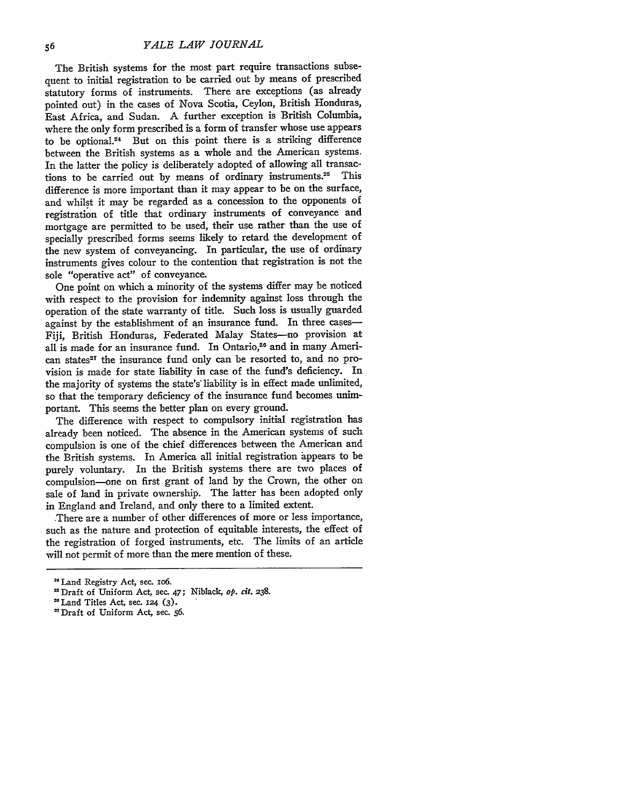The British systems for the most part require transactions subsequent to initial registration to be carried out by means of prescribed statutory forms of instruments. There are exceptions (as already pointed out) in the cases of Nova Scotia, Ceylon, British Honduras, East Africa, and Sudan. A further exception is British Columbia, where the only form prescribed is a form of transfer whose use appears to be optional.<sup>24</sup> But on this point there is a striking difference between the British systems as a whole and the American systems. In the latter the policy is deliberately adopted of allowing all transactions to be carried out by means of ordinary instruments.<sup>25</sup> This difference is more important than it may appear to be on the surface, and whilst it may be regarded as a concession to the opponents of registration of title that ordinary instruments of conveyance and mortgage are permitted to be used, their use rather than the use of specially prescribed forms seems likely to retard the development of the new system of conveyancing. In particular, the use of ordinary instruments gives colour to the contention that registration is not the sole "operative act" of conveyance.

One point on which a minority of the systems differ may be noticed with respect to the provision for indemnity against loss through the operation of the state warranty of title. Such loss is usually guarded against by the establishment of an insurance fund. In three cases-Fiji, British Honduras, Federated Malay States-no provision at all is made for an insurance fund. In Ontario,<sup>26</sup> and in many American states<sup>27</sup> the insurance fund only can be resorted to, and no provision is made for state liability in case of the fund's deficiency. In the majority of systems the state's liability is in effect made unlimited, so that the temporary deficiency of the insurance fund becomes unimportant. This seems the better plan on every ground.

The difference with respect to compulsory initial registration has already been noticed. The absence in the American systems of such compulsion is one of the chief differences between the American and the British systems. In America all initial registration appears to be purely voluntary. In the British systems there are two places of compulsion-one on first grant of land by the Crown, the other on sale of land in private ownership. The latter has been adopted only in England and Ireland, and only there to a limited extent.

.There are a number of other differences of more or less importance, such as the nature and protection of equitable interests, the effect of the registration of forged instruments, etc. The limits of an article will not permit of more than the mere mention of these.

<sup>&</sup>quot;Land Registry Act, sec. io6.

<sup>&</sup>lt;sup>25</sup> Draft of Uniform Act, sec. 47; Niblack, op. cit. 238.

<sup>&</sup>quot; Land Titles Act, sec. **124** (3).

<sup>&#</sup>x27;Draft of Uniform Act, sec. 56.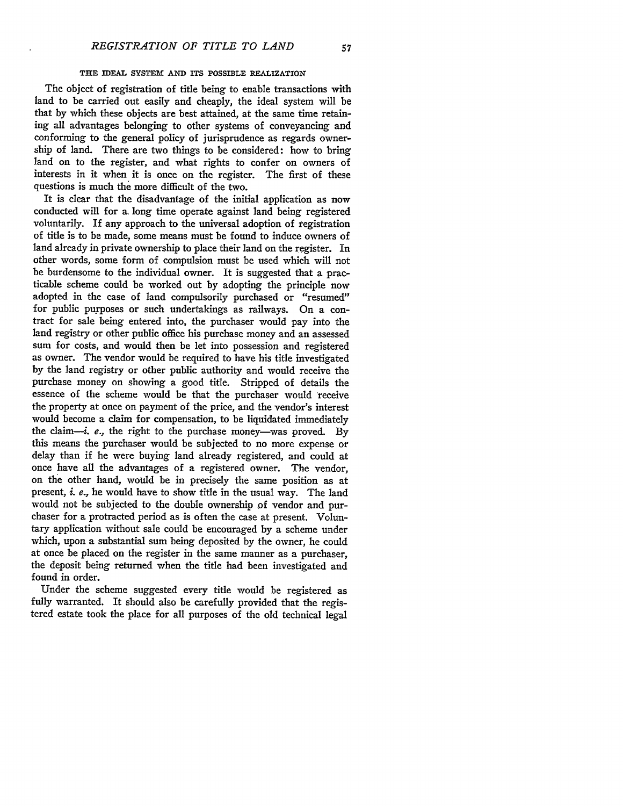## **THE IDEAL SYSTEM AND ITS POSSIBLE REALIZATION**

The object of registration of title being to enable transactions with land to be carried out easily and cheaply, the ideal system will be that **by** which these objects are best attained, at the same time retaining all advantages belonging to other systems of conveyancing and conforming to the general policy of jurisprudence as regards ownership of land. There are two things to be considered: how to bring land on to the register, and what rights to confer on owners of interests in it when it is once on the register. The first of these questions is much the more difficult of the two.

It is clear that the disadvantage of the initial application as now conducted will for a long time operate against land being registered voluntarily. If any approach to the universal adoption of registration of title is to be made, some means must be found to induce owners of land already in private ownership to place their land on the register. In other words, some form of compulsion must be used which will not be burdensome to the individual owner. It is suggested that a practicable scheme could be worked out **by** adopting the principle now adopted in the case of land compulsorily purchased or "resumed" for public purposes or such undertakings as railways. On a contract for sale being entered into, the purchaser would pay into the land registry or other public office his purchase money and an assessed sum for costs, and would then be let into possession and registered as owner. The vendor would be required to have his title investigated **by** the land registry or other public authority and would receive the purchase money on showing a good title. Stripped of details the essence of the scheme would be that the purchaser would 'receive the property at once on payment of the price, and the vendor's interest would become a claim for compensation, to be liquidated immediately the claim-*i. e.*, the right to the purchase money-was proved. By this means the purchaser would be subjected to no more expense or delay than if he were buying land already registered, and could at once have all the advantages of a registered owner. The vendor, on the other hand, would be in precisely the same position as at present, *i.* **e.,** he would have to show title in the usual way. The land would not be subjected to the double ownership of vendor and purchaser for a protracted period as is often the case at present. Voluntary application without sale could be encouraged **by** a scheme under which, upon a substantial sum being deposited **by** the owner, he could at once be placed on the register in the same manner as a purchaser, the deposit being returned when the title had been investigated and found in order.

Under the scheme suggested every title would be registered as fully warranted. It should also be carefully provided that the registered estate took the place for all purposes of the old technical legal